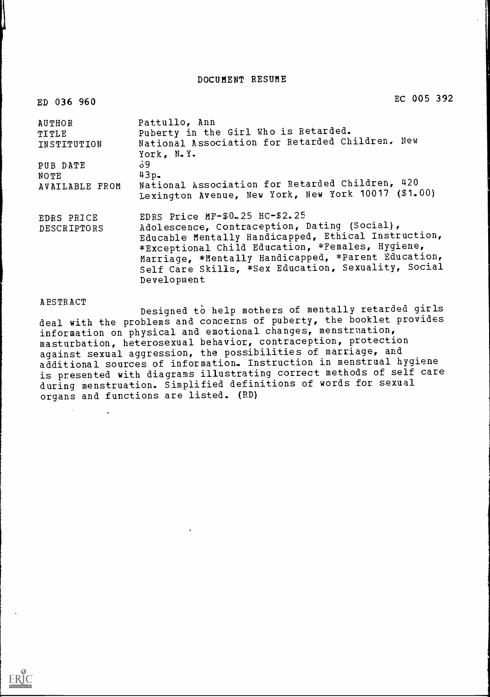DOCUMENT RESUME

EC 005 392

| AUTHOR<br>TITLE<br>INSTITUTION | Pattullo, Ann<br>Puberty in the Girl Who is Retarded.<br>National Association for Retarded Children, New<br>York, N.Y.                                                                                                                                                                                                 |
|--------------------------------|------------------------------------------------------------------------------------------------------------------------------------------------------------------------------------------------------------------------------------------------------------------------------------------------------------------------|
| PUB DATE                       | - 9 ق                                                                                                                                                                                                                                                                                                                  |
| NOTE                           | $43p -$                                                                                                                                                                                                                                                                                                                |
| AVAILABLE FROM                 | National Association for Retarded Children, 420<br>Lexington Avenue, New York, New York 10017 (\$1.00)                                                                                                                                                                                                                 |
| EDRS PRICE<br>DESCRIPTORS      | EDRS Price MF-\$0.25 HC-\$2.25<br>Adolescence, Contraception, Dating (Social),<br>Educable Mentally Handicapped, Ethical Instruction,<br>*Exceptional Child Education, *Females, Hygiene,<br>Marriage, *Mentally Handicapped, *Parent Education,<br>Self Care Skills, *Sex Education, Sexuality, Social<br>Development |

ED 036 960

ABSTRACT **Designed to help mothers of mentally retarded girls** deal with the problems and concerns of puberty, the booklet provides information on physical and emotional changes, menstruation, masturbation, heterosexual behavior, contraception, protection against sexual aggression, the possibilities of marriage, and additional sources of information. Instruction in menstrual hygiene is presented with diagrams illustrating correct methods of self care during menstruation. Simplified definitions of words for sexual organs and functions are listed. (RD)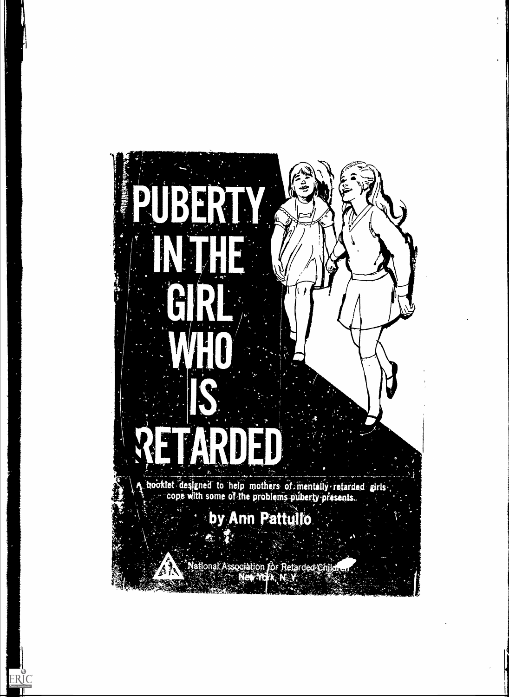

 $\mathfrak{t}^{\scriptscriptstyle \top}$ 

v.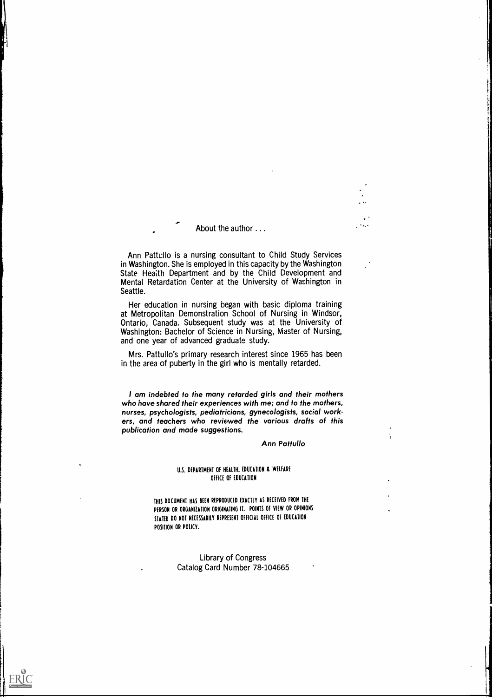#### About the author . . .

Ann Pattullo is a nursing consultant to Child Study Services in Washington. She is employed in this capacity by the Washington State Health Department and by the Child Development and Mental Retardation Center at the University of Washington in Seattle.

Her education in nursing began with basic diploma training at Metropolitan Demonstration School of Nursing in Windsor, Ontario, Canada. Subsequent study was at the University of Washington: Bachelor of Science in Nursing, Master of Nursing, and one year of advanced graduate study.

Mrs. Pattullo's primary research interest since 1965 has been in the area of puberty in the girl who is mentally retarded.

I am indebted to the many retarded girls and their mothers who have shared their experiences with me; and to the mothers, nurses, psychologists, pediatricians, gynecologists, social workers, and teachers who reviewed the various drafts of this publication and made suggestions.

#### Ann Pattullo

 $\ddotsc$ 

#### U.S. DEPARTMENT Of HEALTH. EDUCATION & WELFARE OFFICE OF EDUCATION

THIS DOCUMENT HAS BEEN REPRODUCED EXACTLY AS RECEIVED FROM THE PERSON OR ORGANIZATION ORIGINATING IT. POINTS Of VIEW OR OPINIONS STATED DO NOT NECESSARILY REPRESENT OFFICIAL OFFICE Of EDUCATION POSITION OR POLICY.

> Library of Congress Catalog Card Number 78-104665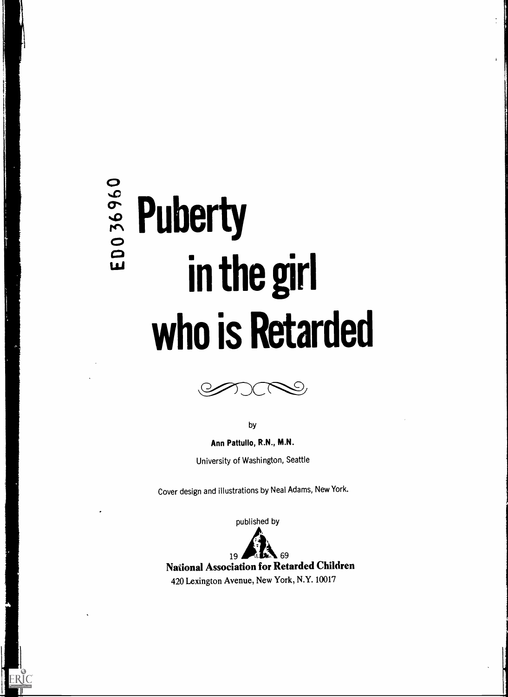# $\frac{2}{3}$ <br>  $\frac{2}{3}$  Puberty<br>  $\frac{2}{3}$  in the in the girl who is Retarded

ERIC



by

Ann Pattullo, R.N., M.N. University of Washington, Seattle

Cover design and illustrations by Neal Adams, New York.

published by



 $19$   $12$  69 National Association for Retarded Children 420 Lexington Avenue, New York, N.Y. 10017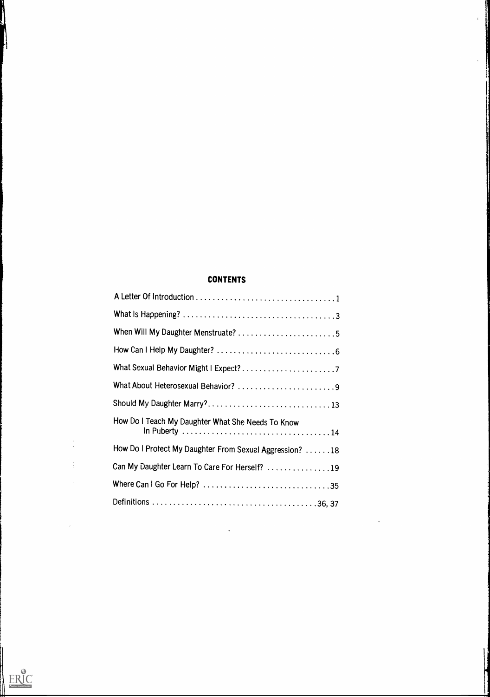# CONTENTS

 $\mathbf{I}$ 

| What About Heterosexual Behavior? 9                      |  |
|----------------------------------------------------------|--|
| Should My Daughter Marry?13                              |  |
| How Do I Teach My Daughter What She Needs To Know        |  |
| How Do I Protect My Daughter From Sexual Aggression?  18 |  |
| Can My Daughter Learn To Care For Herself? 19            |  |
|                                                          |  |
|                                                          |  |



1

i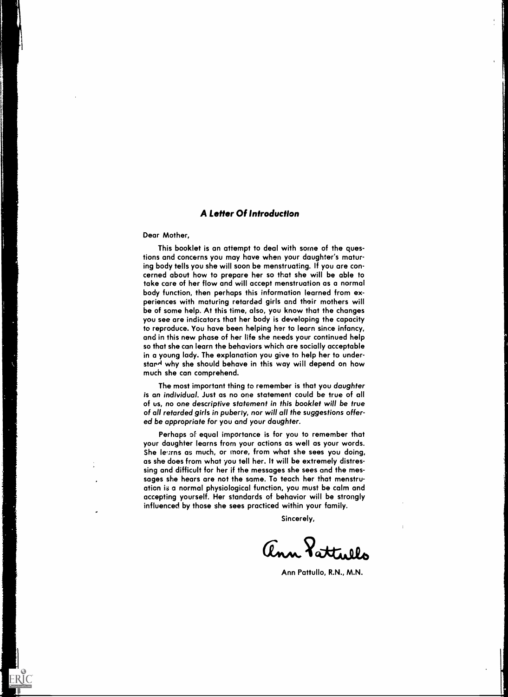### A Letter Of Introduction

Dear Mother,

ERIC

This booklet is an attempt to deal with some of the questions and concerns you may have when your daughter's maturing body tells you she will soon be menstruating. If you are concerned about how to prepare her so that she will be able to take care of her flow and will accept menstruation as a normal body function, then perhaps this information learned from experiences with maturing retarded girls and their mothers will be of some help. At this time, also, you know that the changes you see are indicators that her body is developing the capacity to reproduce. You have been helping her to learn since infancy, and in this new phase of her life she needs your continued help so that she can learn the behaviors which are socially acceptable in a young lady. The explanation you give to help her to under stard why she should behave in this way will depend on how much she can comprehend.

The most important thing to remember is that you daughter is an individual. Just as no one statement could be true of all of us, no one descriptive statement in this booklet will be true of all retarded girls in puberty, nor will all the suggestions offered be appropriate for you and your daughter.

Perhaps of equal importance is for you to remember that your daughter learns from your actions as well as your words. She learns as much, or more, from what she sees you doing, as she does from what you tell her. It will be extremely distressing and difficult for her if the messages she sees and the messages she hears are not the same. To teach her that menstruation is a normal physiological function, you must be calm and accepting yourself. Her standards of behavior will be strongly influenced by those she sees practiced within your family.

Sincerely,

ann Pattel.

Ann Pattullo, R.N., M.N.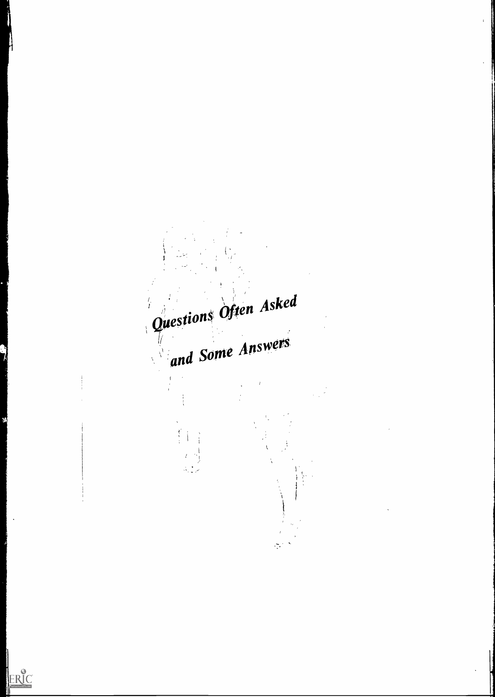Questions Often Asked Answers  $d$  Some  $\begin{array}{c} \overrightarrow{r} \\ \overrightarrow{r} \\ \overrightarrow{r} \end{array}$  $\frac{2\pi}{\pi}$ 

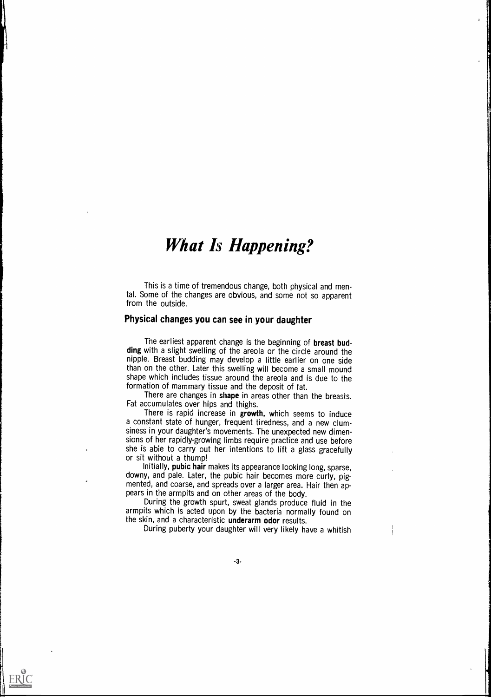# What Is Happening?

This is a time of tremendous change, both physical and mental. Some of the changes are obvious, and some not so apparent from the outside.

# Physical changes you can see in your daughter

The earliest apparent change is the beginning of breast budding with a slight swelling of the areola or the circle around the nipple. Breast budding may develop a little earlier on one side than on the other. Later this swelling will become a small mound shape which includes tissue around the areola and is due to the formation of mammary tissue and the deposit of fat.

There are changes in shape in areas other than the breasts. Fat accumulates over hips and thighs.

There is rapid increase in growth, which seems to induce a constant state of hunger, frequent tiredness, and a new clumsiness in your daughter's movements. The unexpected new dimensions of her rapidly-growing limbs require practice and use before she is able to carry out her intentions to lift a glass gracefully or sit without a thump!

Initially, pubic hair makes its appearance looking long, sparse, downy, and pale. Later, the pubic hair becomes more curly, pigmented, and coarse, and spreads over a larger area. Hair then appears in the armpits and on other areas of the body.

During the growth spurt, sweat glands produce fluid in the armpits which is acted upon by the bacteria normally found on the skin, and a characteristic underarm odor results.

During puberty your daughter will very likely have a whitish

-3-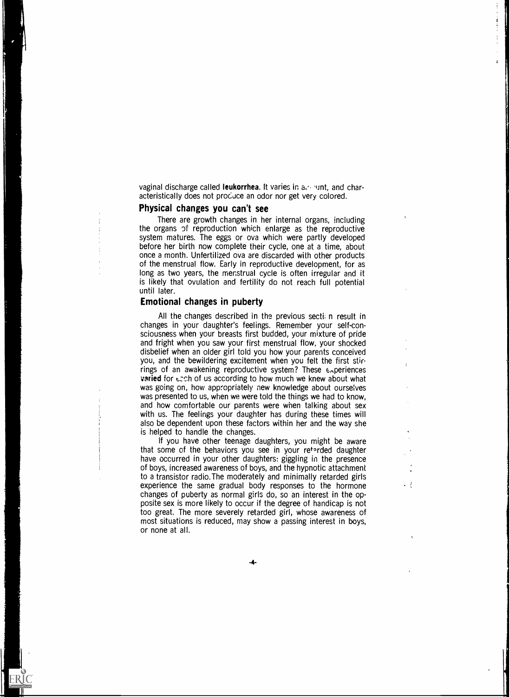vaginal discharge called **leukorrhea.** It varies in a. ount, and characteristically does not procuce an odor nor get very colored.

. .

#### Physical changes you can't see

There are growth changes in her internal organs, including the organs of reproduction which enlarge as the reproductive system matures. The eggs or ova which were partly developed before her birth now complete their cycle, one at a time, about once a month. Unfertilized ova are discarded with other products of the menstrual flow. Early in reproductive development, for as long as two years, the menstrual cycle is often irregular and it is likely that ovulation and fertility do not reach full potential until later.

#### Emotional changes in puberty

All the changes described in the previous secti. n result in changes in your daughter's feelings. Remember your self-consciousness when your breasts first budded, your mixture of pride and fright when you saw your first menstrual flow, your shocked disbelief when an older girl told you how your parents conceived you, and the bewildering excitement when you felt the first stirrings of an awakening reproductive system? These  $\epsilon_{\gamma}$  periences varied for  $\epsilon$ zch of us according to how much we knew about what was going on, how appropriately new knowledge about ourselves was presented to us, when we were told the things we had to know, and how comfortable our parents were when talking about sex with us. The feelings your daughter has during these times will also be dependent upon these factors within her and the way she is helped to handle the changes.

If you have other teenage daughters, you might be aware that some of the behaviors you see in your retarded daughter have occurred in your other daughters: giggling in the presence of boys, increased awareness of boys, and the hypnotic attachment to a transistor radio.The moderately and minimally retarded girls experience the same gradual body responses to the hormone changes of puberty as normal girls do, so an interest in the opposite sex is more likely to occur if the degree of handicap is not too great. The more severely retarded girl, whose awareness of most situations is reduced, may show a passing interest in boys, or none at all.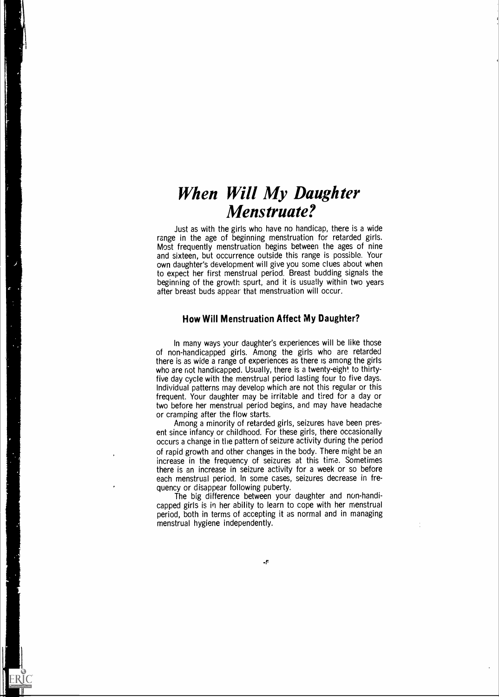# When Will My Daughter Menstruate?

Just as with the girls who have no handicap, there is a wide range in the age of beginning menstruation for retarded girls. Most frequently menstruation begins between the ages of nine and sixteen, but occurrence outside this range is possible. Your own daughter's development will give you some clues about when to expect her first menstrual period. Breast budding signals the beginning of the growth spurt, and it is usually within two years after breast buds appear that menstruation will occur.

# How Will Menstruation Affect My Daughter?

In many ways your daughter's experiences will be like those of non-handicapped girls. Among the girls who are retarded there is as wide a range of experiences as there is among the girls who are not handicapped. Usually, there is a twenty-eight to thirtyfive day cycle with the menstrual period lasting four to five days. Individual patterns may develop which are not this regular or this frequent. Your daughter may be irritable and tired for a day or two before her menstrual period begins, and may have headache or cramping after the flow starts.

Among a minority of retarded girls, seizures have been present since infancy or childhood. For these girls, there occasionally occurs a change in tile pattern of seizure activity during the period of rapid growth and other changes in the body. There might be an increase in the frequency of seizures at this time. Sometimes there is an increase in seizure activity for a week or so before each menstrual period. In some cases, seizures decrease in frequency or disappear following puberty.

The big difference between your daughter and non-handicapped girls is in her ability to learn to cope with her menstrual period, both in terms of accepting it as normal and in managing menstrual hygiene independently.

-r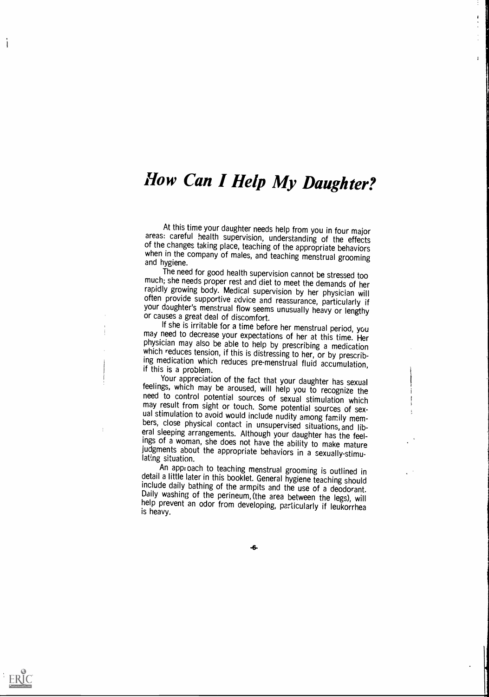# How Can I Help My Daughter?

 $\mathbf{I}$ 

At this time your daughter needs help from you in four major<br>areas: careful health supervision, understanding of the effects<br>of the changes taking place, teaching of the appropriate behaviors<br>when in the company of males,

much; she needs proper rest and diet to meet the demands of her rapidly growing body. Medical supervision by her physician will often provide supportive advice and reassurance, particularly if your daughter's menstrual flo

may need to decrease your expectations of her at this time. Her physician may also be able to help by prescribing a medication which reduces tension, if this is distressing to her, or by prescribing medication which reduces pre-menstrual fluid accumulation, if this is a problem.<br>Your appreciation of the fact that your daughter has sexual

feelings, which may be aroused, will help you to recognize the need to control potential sources of sexual stimulation which may result from sight or touch. Some potential sources of sexual stimulation to avoid would include nudity among family members, close physical contact in unsupervised situations, and liberal sleeping arrangements. Although your daughter has the feelings of a woman, she does not hav

detail a little later in this booklet. General hygiene teaching should include daily bathing of the armpits and the use of a deodorant. Daily washing of the perineum, (the area between the legs), will help prevent an odor from developing, particularly if leukorrhea is heavy.



ERIC

 $\mathbf{I}$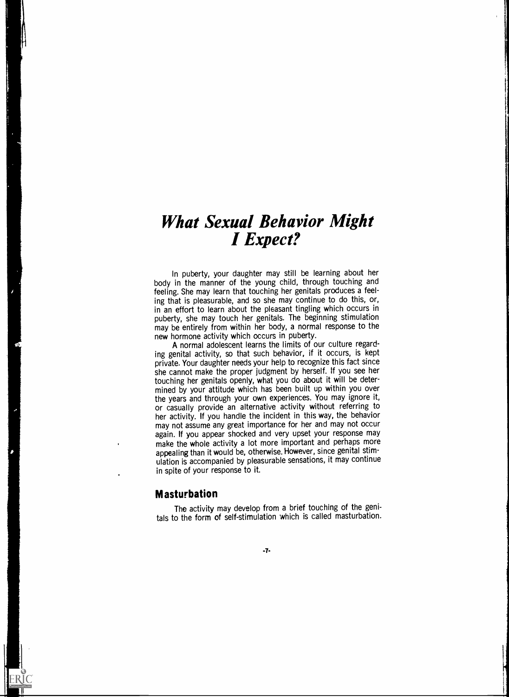# What Sexual Behavior Might I Expect?

In puberty, your daughter may still be learning about her body in the manner of the young child, through touching and feeling. She may learn that touching her genitals produces a feeling that is pleasurable, and so she may continue to do this, or, in an effort to learn about the pleasant tingling which occurs in puberty, she may touch her genitals. The beginning stimulation may be entirely from within her body, a normal response to the new hormone activity which occurs in puberty.

A normal adolescent learns the limits of our culture regarding genital activity, so that such behavior, if it occurs, is kept private. Your daughter needs your help to recognize this fact since she cannot make the proper judgment by herself. If you see her touching her genitals openly, what you do about it will be determined by your attitude which has been built up within you over the years and through your own experiences. You may ignore it, or casually provide an alternative activity without referring to her activity. If you handle the incident in this way, the behavior may not assume any great importance for her and may not occur again. If you appear shocked and very upset your response may make the whole activity a lot more important and perhaps more appealing than it would be, otherwise. However, since genital stimulation is accompanied by pleasurable sensations, it may continue in spite of your response to it.

# Masturbation

 $\mathbf{H}$  and  $\mathbf{H}$  are the set of  $\mathbf{H}$ 

ERIC

The activity may develop from a brief touching of the genitals to the form of self-stimulation which is called masturbation.

-7-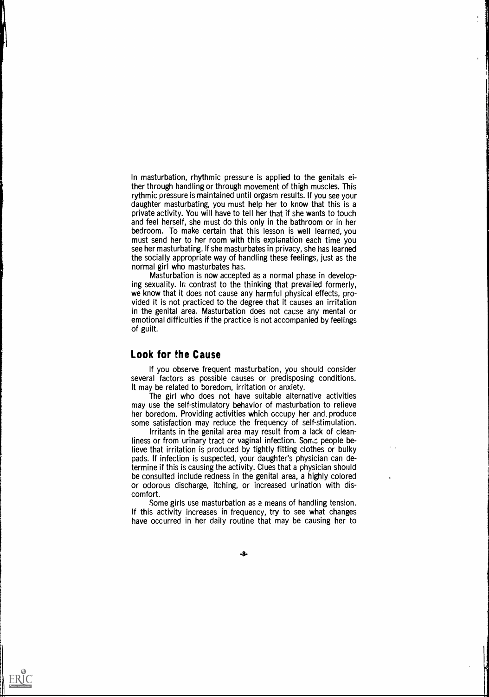In masturbation, rhythmic pressure is applied to the genitals either through handling or through movement of thigh muscles. This rythmic pressure is maintained until orgasm results. If you see your daughter masturbating, you must help her to know that this is a private activity. You will have to tell her that if she wants to touch and feel herself, she must do this only in the bathroom or in her bedroom. To make certain that this lesson is well learned, you must send her to her room with this explanation each time you see her masturbating. If she masturbates in privacy, she has learned the socially appropriate way of handling these feelings, just as the normal girl who masturbates has.

Masturbation is now accepted as a normal phase in developing sexuality. In contrast to the thinking that prevailed formerly, we know that it does not cause any harmful physical effects, provided it is not practiced to the degree that it causes an irritation in the genital area. Masturbation does not cause any mental or emotional difficulties if the practice is not accompanied by feelings of guilt.

# Look for the Cause

If you observe frequent masturbation, you should consider several factors as possible causes or predisposing conditions. It may be related to boredom, irritation or anxiety.

The girl who does not have suitable alternative activities may use the self-stimulatory behavior of masturbation to relieve her boredom. Providing activities which occupy her and. produce some satisfaction may reduce the frequency of self-stimulation.

Irritants in the genital area may result from a lack of cleanliness or from urinary tract or vaginal infection. Some people believe that irritation is produced by tightly fitting clothes or bulky pads. If infection is suspected, your daughter's physician can determine if this is causing the activity. Clues that a physician should be consulted include redness in the genital area, a highly colored or odorous discharge, itching, or increased urination with discomfort.

Some girls use masturbation as a means of handling tension. If this activity increases in frequency, try to see what changes have occurred in her daily routine that may be causing her to



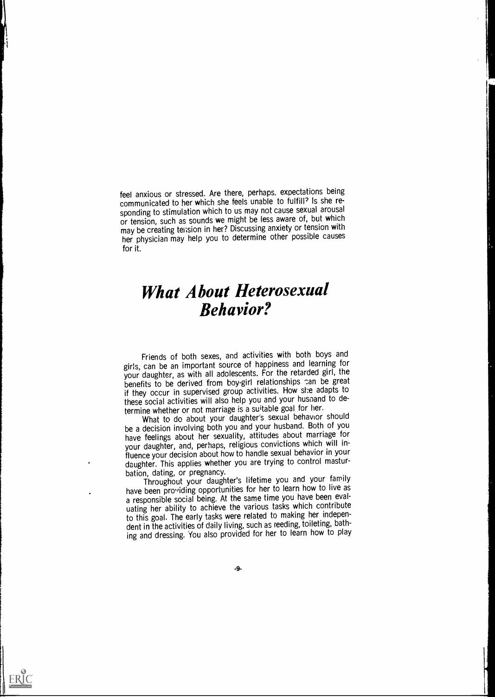feel anxious or stressed. Are there, perhaps. expectations being communicated to her which she feels unable to fulfill? Is she responding to stimulation which to us may not cause sexual arousal or tension, such as sounds we might be less aware of, but which may be creating tei;sion in her? Discussing anxiety or tension with her physician may help you to determine other possible causes for it.

# What About Heterosexual Behavior?

Friends of both sexes, and activities with both boys and girls, can be an important source of happiness and learning for your daughter, as with all adolescents. For the retarded girl, the benefits to be derived from boy-girl relationships can be great if they occur in supervised group activities. How she adapts to these social activities will also help you and your husband to determine whether or not marriage is a suitable goal for her.

What to do about your daughter's sexual behavior should be a decision involving both you and your husband. Both of you have feelings about her sexuality, attitudes about marriage for your daughter, and, perhaps, religious convictions which will influence your decision about how to handle sexual behavior in your daughter. This applies whether you are trying to control masturbation, dating, or pregnancy.

Throughout your daughter's lifetime you and your family have been providing opportunities for her to learn how to live as a responsible social being. At the same time you have been evaluating her ability to achieve the various tasks which contribute to this goal. The early tasks were related to making her independent in the activities of daily living, such as reeding, toileting, bathing and dressing. You also provided for her to learn how to play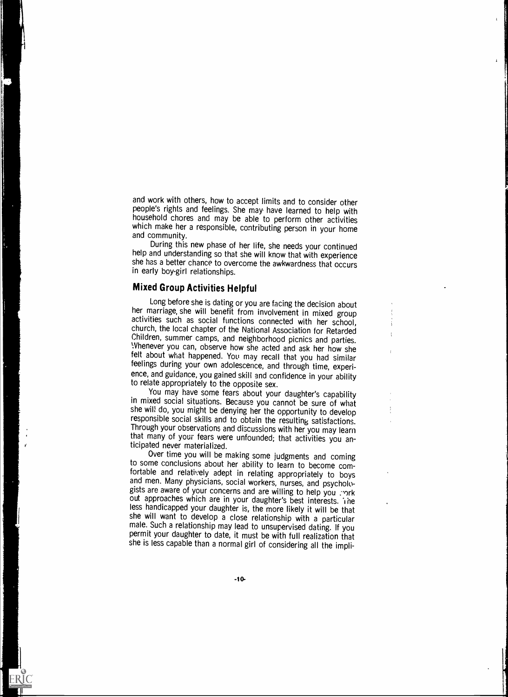and work with others, how to accept limits and to consider other people's rights and feelings. She may have learned to help with household chores and may be able to perform other activities which make her a responsible, contributing person in your home and community.

During this new phase of her life, she needs your continued help and understanding so that she will know that with experience she has a better chance to overcome the awkwardness that occurs in early boy-girl relationships.

# Mixed Group Activities Helpful

Long before she is dating or you are facing the decision about her marriage, she will benefit from involvement in mixed group activities such as social functions connected with her school, church, the local chapter of the National Association for Retarded Whenever you can, observe how she acted and ask her how she felt about what happened. You may recall that you had similar feelings during your own adolescence, and through time, experience, and guidance, you gained skill and confidence in your ability to relate appropriately to the opposite sex.

You may have some fears about your daughter's capability in mixed social situations. Because you cannot be sure of what she will do, you might be denying her the opportunity to develop responsible social skills and to obtain the resulting satisfactions. Through your observations and discussions with her you may learn that many of your fears were unfounded; that activities you anticipated never materialized.

Over time you will be making some judgments and coming to some conclusions about her ability to learn to become com-<br>fortable and relatively adept in relating appropriately to boys and men. Many physicians, social workers, nurses, and psychologists are aware of your concerns and are willing to help you . ork out approaches which are in your daughter's best interests. The less handicapped your daughte she will want to develop a close relationship with a particular male. Such a relationship may lead to unsupervised dating. If you permit your daughter to date, it must be with full realization that she is less capable than a normal girl of considering all the impli-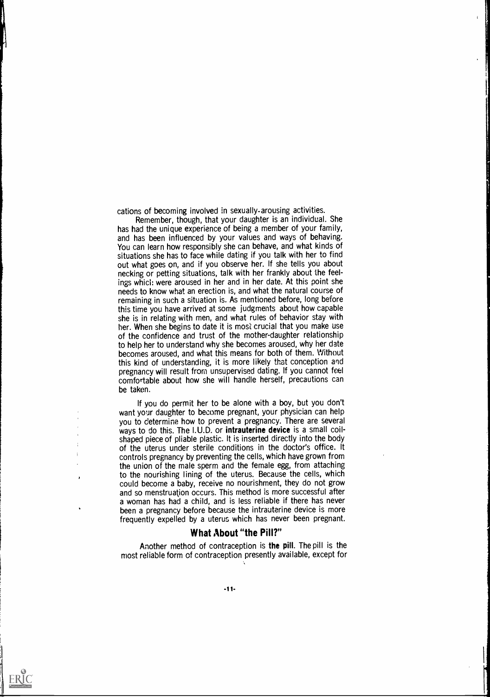cations of becoming involved in sexually-arousing activities.

I

 $\frac{1}{2}$ 

ERIC

Remember, though, that your daughter is an individual. She has had the unique experience of being a member of your family, and has been influenced by your values and ways of behaving. You can learn how responsibly she can behave, and what kinds of situations she has to face while dating if you talk with her to find out what goes on, and if you observe her. If she tells you about necking or petting situations, talk with her frankly about the feelings whicl: were aroused in her and in her date. At this point she needs to know what an erection is, and what the natural course of remaining in such a situation is. As mentioned before, long before this time you have arrived at some judgments about how capable she is in relating with men, and what rules of behavior stay with her. When she begins to date it is most crucial that you make use of the confidence and trust of the mother-daughter relationship to help her to understand why she becomes aroused, why her date becomes aroused, and what this means for both of them. Without this kind of understanding, it is more likely that conception and pregnancy will result from unsupervised dating. If you cannot feel comfortable about how she will handle herself, precautions can be taken.

If you do permit her to be alone with a boy, but you don't want your daughter to become pregnant, your physician can help you to determine how to prevent a pregnancy. There are several ways to do this. The I.U.D. or **intrauterine device** is a small coilshaped piece of pliable plastic. It is inserted directly into the body of the uterus under sterile conditions in the doctor's office. It controls pregnancy by preventing the cells, which have grown from the union of the male sperm and the female egg, from attaching to the nourishing lining of the uterus. Because the cells, which could become a baby, receive no nourishment, they do not grow and so menstruation occurs. This method is more successful after a woman has had a child, and is less reliable if there has never been a pregnancy before because the intrauterine device is more frequently expelled by a uterus which has never been pregnant.

# What About "the Pill?"

Another method of contraception is the pill. The pill is the most reliable form of contraception presently available, except for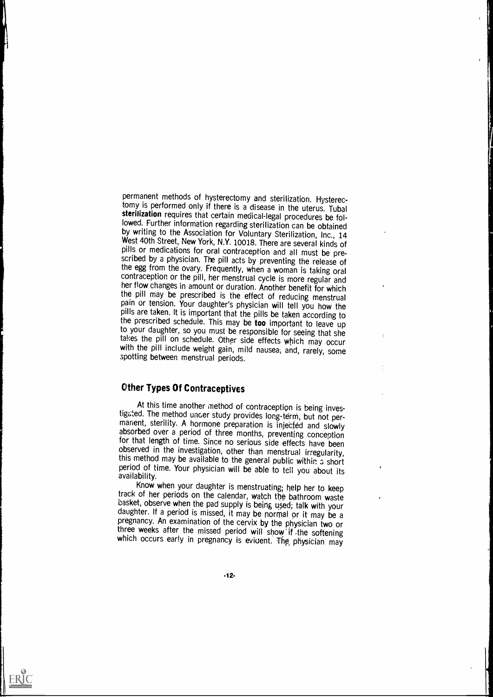permanent methods of hysterectomy and sterilization. Hysterectomy is performed only if there is a disease in the uterus. Tubal sterilization requires that certain medical-legal procedures be followed. Further information regarding sterilization can be obtained<br>by writing to the Association for Voluntary Sterilization, Inc., 14 West 40th Street, New York, N.Y. 10018. There are several kinds of pills or medications for oral contraception and all must be prescribed by a physician. The pill acts by preventing the release of the egg from the ovary. Frequently, when a woman is taking oral contraception or the pill, her menstrual cycle is more regular and her flow changes in amount or duration. Another benefit for which the pill may be prescribed is the effect of reducing menstrual pain or tension. Your daughter's physician will tell you how the pills are taken. It is important that the pills be taken according to the prescribed schedule. This may be too important to leave up to your daughter, so you must be responsible for seeing that she takes the pill on schedule. Other side effects which may occur with the pill include weight gain, mild nausea, and, rarely, some spotting between menstrual periods.

# Other Types Of Contraceptives

ERIC

At this time another method of contraception is being inves-<br>tigated. The method under study provides long-term, but not permanent, sterility. A hormone preparation is injected and slowly absorbed over a period of three months, preventing conception for that length of time. Since no serious side effects have been observed in the investigation, other than menstrual irregularity, this method may be available to the general public within a short period of time. Your physician will be able to tell you about its availability.

Know when your daughter is menstruating; help her to keep track of her periods on the calendar, watch the bathroom waste<br>basket, observe when the pad supply is being used; talk with your daughter. If a period is missed, it may be normal or it may be a pregnancy. An examination of the cervix by the physician two or three weeks after the missed period will show if the softening which occurs early in pregnancy is evident. The physician may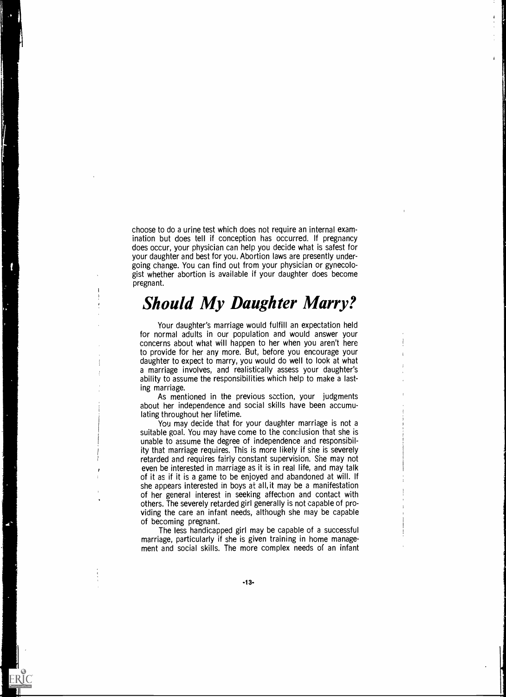choose to do a urine test which does not require an internal examination but does tell if conception has occurred. If pregnancy does occur, your physician can help you decide what is safest for your daughter and best for you. Abortion laws are presently undergoing change. You can find out from your physician or gynecologist whether abortion is available if your daughter does become pregnant.

# Should My Daughter Marry?

Your daughter's marriage would fulfill an expectation held for normal adults in our population and would answer your concerns about what will happen to her when you aren't here to provide for her any more. But, before you encourage your daughter to expect to marry, you would do well to look at what a marriage involves, and realistically assess your daughter's ability to assume the responsibilities which help to make a lasting marriage.

As mentioned in the previous section, your judgments about her independence and social skills have been accumulating throughout her lifetime.

You may decide that for your daughter marriage is not a suitable goal. You may have come to the conclusion that she is unable to assume the degree of independence and responsibility that marriage requires. This is more likely if she is severely retarded and requires fairly constant supervision. She may not even be interested in marriage as it is in real life, and may talk of it as if it is a game to be enjoyed and abandoned at will. If she appears interested in boys at all, it may be a manifestation of her general interest in seeking affection and contact with others. The severely retarded girl generally is not capable of providing the care an infant needs, although she may be capable of becoming pregnant.

The less handicapped girl may be capable of a successful marriage, particularly if she is given training in home management and social skills. The more complex needs of an infant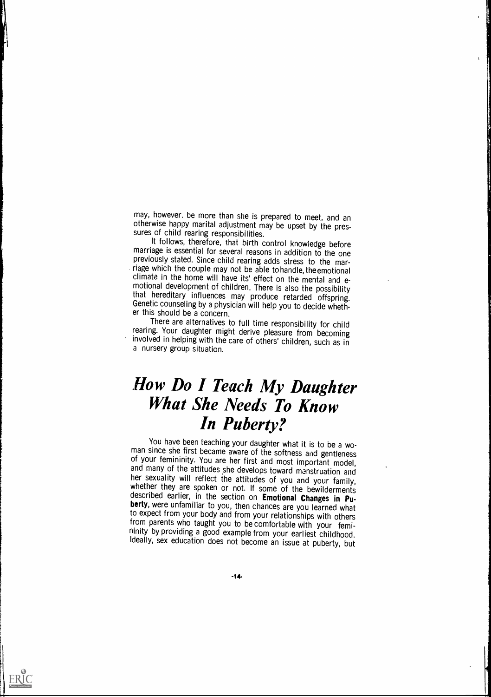may, however, be more than she is prepared to meet, and an otherwise happy marital adjustment may be upset by the pres- sures of child rearing responsibilities.

marriage is essential for several reasons in addition to the one previously stated. Since child rearing adds stress to the marriage which the couple may not be able to handle, theemotional climate in the home will have its' effect on the mental and emotional development of children. There is also the possibility<br>that hereditary influences may produce retarded offspring. Genetic counseling by a physician will help you to decide wheth-<br>er this should be a concern.

There are alternatives to full time responsibility for child rearing. Your daughter might derive pleasure from becoming involved in helping with the care of others' children, such as in a nursery group situation.

# How Do I Teach My Daughter What She Needs To Know In Puberty?

You have been teaching your daughter what it is to be a wo-<br>man since she first became aware of the softness and gentleness of your femininity. You are her first and most important model, and many of the attitudes she develops toward menstruation and her sexuality will reflect the attitudes of you and your family, whether they are spoken or not berty, were unfamiliar to you, then chances are you learned what to expect from your body and from your relationships with others from parents who taught you to be comfortable with your femininity by providing a good example from your earliest childhood. Ideally, sex education does not become an issue at puberty, but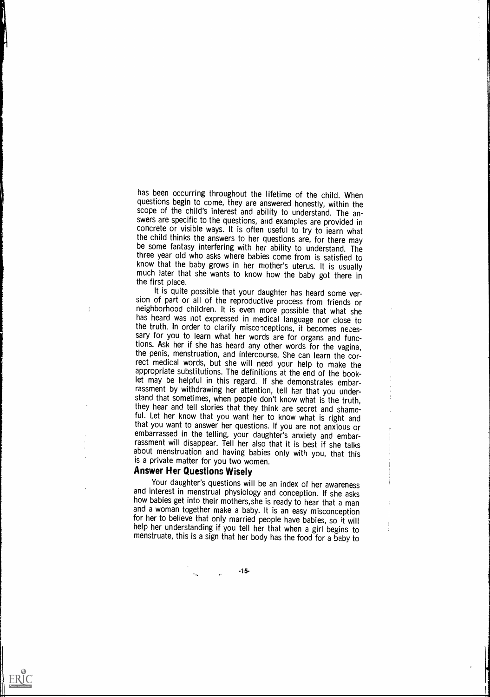has been occurring throughout the lifetime of the child. When questions begin to come, they are answered honestly, within the scope of the child's interest and ability to understand. The answers are specific to the questions, arid examples are provided in concrete or visible ways. It is often useful to try to learn what the child thinks the answers to her questions are, for there may be some fantasy interfering with her ability to understand. The three year old who asks where babies come from is satisfied to know that the baby grows in her mother's uterus. It is usually much later that she wants to know how the baby got there in

í.

the first place.<br>It is quite possible that your daughter has heard some version of part or all of the reproductive process from friends or neighborhood children. It is even more possible that what she has heard was not expressed in medical language nor close to the truth. In order to clarify misconceptions, it becomes necessary for you to learn what her words are for organs and functions. Ask her if she has heard any other words for the vagina, the penis, menstruation, and intercourse. She can learn the correct medical words, but she will need your help to make the appropriate substitutions. The definitions at the end of the booklet may be helpful in this regard. If she demonstrates embar-<br>rassment by withdrawing her attention, tell her that you understand that sometimes, when people don't know what is the truth, they hear and tell stories that they think are secret and shameful. Let her know that you want her to know what is right and that you want to answer her questions. If you are not anxious or embarrassed in the telling, your daughter's anxiety and embar-<br>rassment will disappear. Tell her also that it is best if she talks about menstruation and having babies only with you, that this is a private matter for you two women.

# Answer Her Questions Wisely

ERIC

Your daughter's questions will be an index of her awareness and interest in menstrual physiology and conception. If she asks how babies get into their mothers, she is ready to hear that a man and a woman together make a baby. It is an easy misconception for her to believe that only married people have babies, so it will help her understanding if you tell her that when a girl begins to menstruate, this is a sign that her body has the food for a baby to

-15-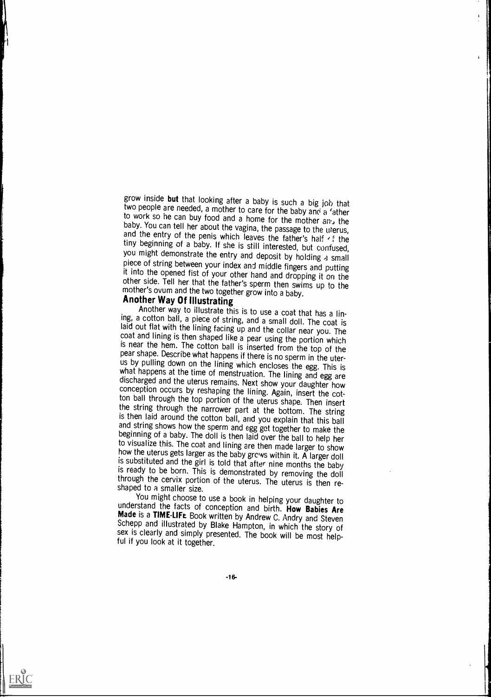grow inside but that looking after a baby is such a big job that<br>two people are needed, a mother to care for the baby and a 'a 'ather<br>to work so he can buy food and a home for the mother and the unity.<br>baby. You can tell

ing, a cotton ball, a piece of string, and a small doll. The coat is<br>laid out flat with the lining facing up and the collar near you. The<br>coat and lining is then shaped like a pear using the portion which<br>is near the hem. pear snape. Describe what happens if there is no sperm in the uter-<br>us by pulling down on the lining which encloses the egg. This is<br>what happens at the time of menstruation. The lining and egg are<br>discharged and the uteru

You might choose to use a book in helping your daughter to understand the facts of conception and birth. How Babies Are Made is a TIME-LIFL Book written by Andrew C. Andry and Steven Schepp and illustrated by Blake Hampton, in which the story of sex is clearly and simply presented. The book will be most helpful if you look at it together.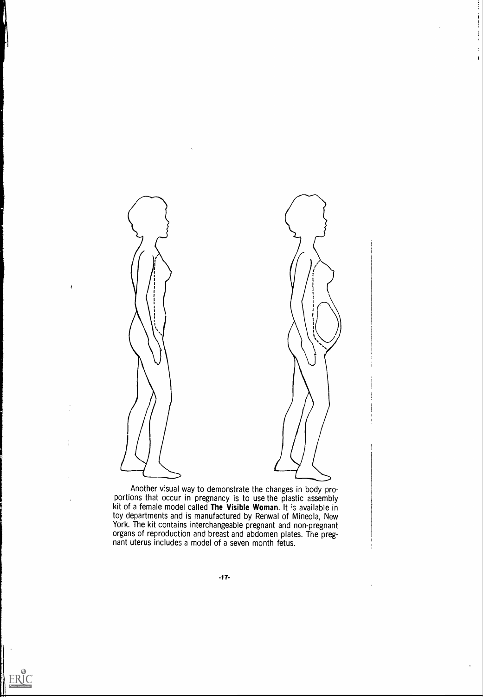

. .

Another visual way to demonstrate the changes in body proportions that occur in pregnancy is to use the plastic assembly kit of a female model called The Visible Woman. It is available in toy departments and is manufactured by Renwal of Mineola, New York. The kit contains interchangeable pregnant and non-pregnant organs of reproduction and breast and abdomen plates. The pregnant uterus includes a model of a seven month fetus.



 $\ddot{\phantom{1}}$ 

j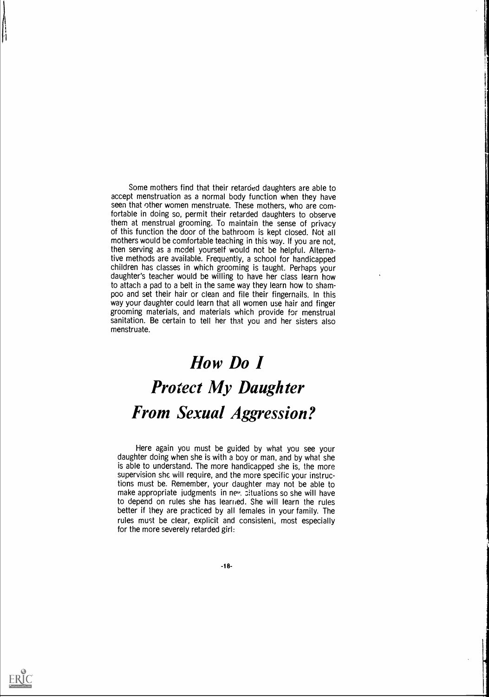Some mothers find that their retarded daughters are able to accept menstruation as a normal body function when they have seen that other women menstruate. These mothers, who are comfortable in doing so, permit their retarded daughters to observe them at menstrual grooming. To maintain the sense of privacy of this function the door of the bathroom is kept closed. Not all mothers would be comfortable teaching in this way. If you are not, then serving as a mcdel yourself would not be helpful. Alternative methods are available. Frequently, a school for handicapped children has classes in which grooming is taught. Perhaps your daughter's teacher would be willing to have her class learn how to attach a pad to a belt in the same way they learn how to shampoo and set their hair or clean and file their fingernails. In this way your daughter could learn that all women use hair and finger grooming materials, and materials which provide for menstrual sanitation. Be certain to tell her that you and her sisters also menstruate.

# How Do I Protect My Daughter From Sexual Aggression?

Here again you must be guided by what you see your daughter doing when she is with a boy or man, and by what she is able to understand. The more handicapped she is, the more supervision she will require, and the more specific your instructions must be. Remember, your daughter may not be able to make appropriate judgments in nev, situations so she will have to depend on rules she has learned. She will learn the rules better if they are practiced by all females in your family. The rules must be clear, explicit and consistent, most especially for the more severely retarded girl:

-18-



||<br>|-<br>|-|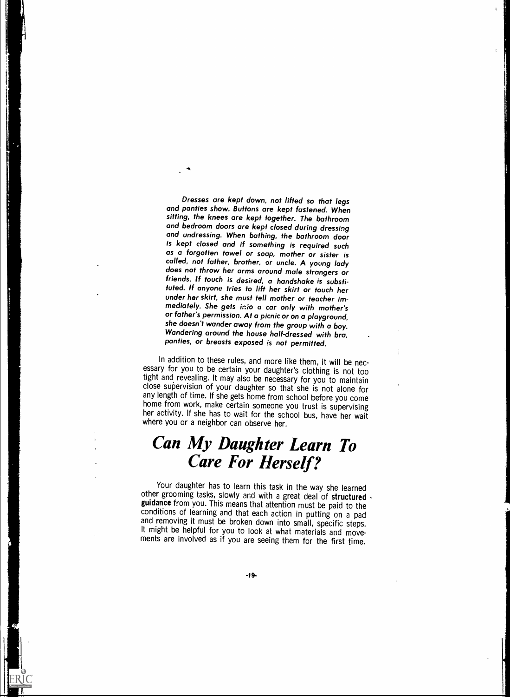Dresses are kept down, not lifted so that legs and panties show. Buttons are kept fustened. When sitting, the knees are kept together. The bathroom and bedroom doors are kept closed during dressing and undressing. When bathing, the bathroom door is kept closed and if something is required such as a forgotten towel or soap, mother or sister is<br>called, not father, brother, or uncle. A young lady does not throw her arms around male strangers or friends. If touch is desired, a handshake is substituted. If anyone tries to lift her skirt or touch her under her skirt, she must tell mother or teacher immediately. She gets into a car only with mother's or father's permission. At a picnic or on a playground, she doesn't wander away from the group with a boy. Wandering around the house half-dressed with bra, panties, or breasts exposed is not permitted.

i

In addition to these rules, and more like them, it will be nec- essary for you to be certain your daughter's clothing is not too tight and revealing. It may also be necessary for you to maintain close supervision of your daughter so that she is not alone for<br>any length of time. If she gets home from school before you come home from work, make certain someone you trust is supervising<br>her activity. If she has to wait for the school bus, have her wait<br>where you or a neighbor can observe her.

# Can My Daughter Learn To Care For Herself?

Your daughter has to learn this task in the way she learned other grooming tasks, slowly and with a great deal of structured guidance from you. This means that attention must be paid to the conditions of learning and that each action in putting on a pad and removing it must be broken down into small, specific steps.<br>It might be helpful for you to look at what materials and movements are involved as if you are seeing them for the first time.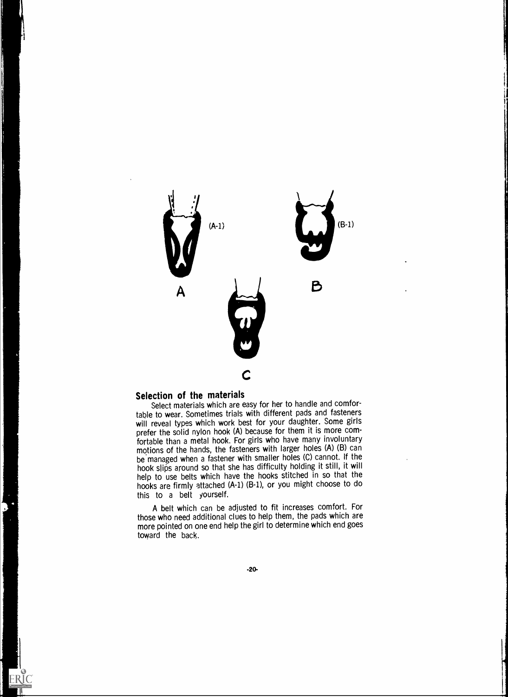

# Selection of the materials

ERIC

Select materials which are easy for her to handle and comfortable to wear. Sometimes trials with different pads and fasteners will reveal types which work best for your daughter. Some girls prefer the solid nylon hook (A) because for them it is more comfortable than a metal hook. For girls who have many involuntary motions of the hands, the fasteners with larger holes (A) (B) can be managed when a fastener with smaller holes (C) cannot. If the hook slips around so that she has difficulty holding it still, it will help to use belts which have the hooks stitched in so that the hooks are firmly attached (A-1) (B-1), or you might choose to do this to <sup>a</sup> belt yourself.

A belt which can be adjusted to fit increases comfort. For those who need additional clues to help them, the pads which are more pointed on one end help the girl to determine which end goes toward the back.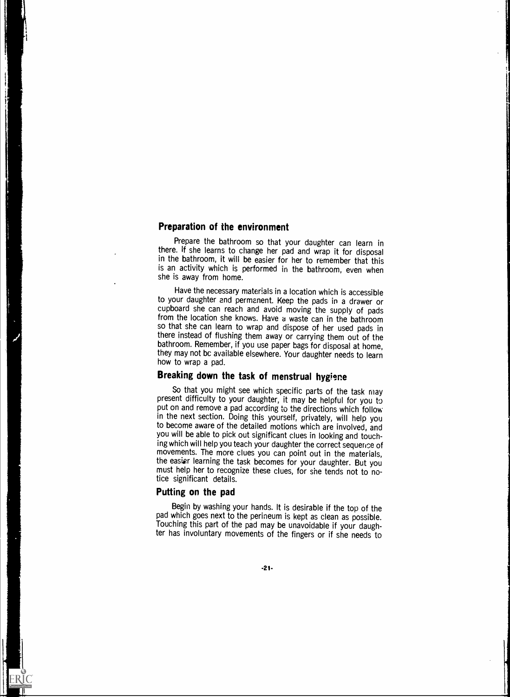#### Preparation of the environment

Prepare the bathroom so that your daughter can learn in there. If she learns to change her pad and wrap it for disposal in the bathroom, it will be easier for her to remember that this is an activity which is performed in the bathroom, even when she is away from home.

Have the necessary materials in a location which is accessible to your daughter and permanent. Keep the pads in a drawer or cupboard she can reach and avoid moving the supply of pads from the location she knows. Have a waste can in the bathroom so that she can learn to wrap and dispose of her used pads in there instead of flushing them away or carrying them out of the bathroom. Remember, if you use paper bags for disposal at home, they may not be available elsewhere. Your daughter needs to learn how to wrap a pad.

# Breaking down the task of menstrual hygiene

So that you might see which specific parts of the task may present difficulty to your daughter, it may be helpful for you to put on and remove a pad according to the directions which follow in the next section. Doing this yourself, privately, will help you to become aware of the detailed motions which are involved, and you will be able to pick out significant clues in looking and touching which will help you teach your daughter the correct sequence of movements. The more clues you can point out in the materials, the easiar learning the task becomes for your daughter. But you must help her to recognize these clues, for she tends not to notice significant details.

#### Putting on the pad

Begin by washing your hands. It is desirable if the top of the pad which goes next to the perineum is kept as clean as possible. Touching this part of the pad may be unavoidable if your daughter has involuntary movements of the fingers or if she needs to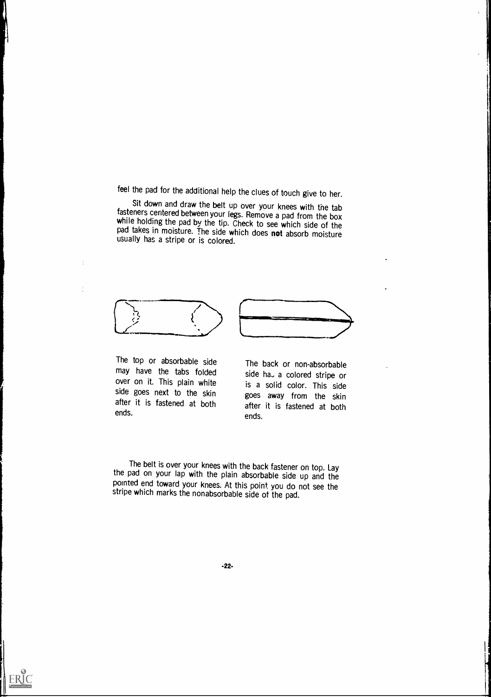feel the pad for the additional help the clues of touch give to her.

Sit down and draw the belt up over your knees with the tab fasteners centered between your legs. Remove a pad from the box while holding the pad by the tip. Check to see which side of the pad takes in moisture. The side which does not absorb moisture usually has a stripe or is colored.





The top or absorbable side may have the tabs folded over on it. This plain white side goes next to the skin after it is fastened at both ends.

 $\frac{1}{4}$ 

÷

The back or non-absorbable side ha<sub>-</sub> a colored stripe or is a solid color. This side goes away from the skin after it is fastened at both ends.

The belt is over your knees with the back fastener on top. Lay the pad on your lap with the plain absorbable side up and the pointed end toward your knees. At this point you do not see the stripe which marks the nonabsorbable side of the pad.



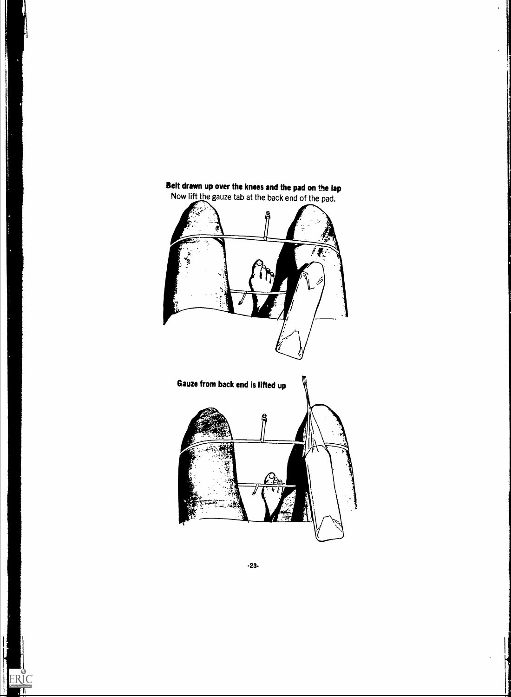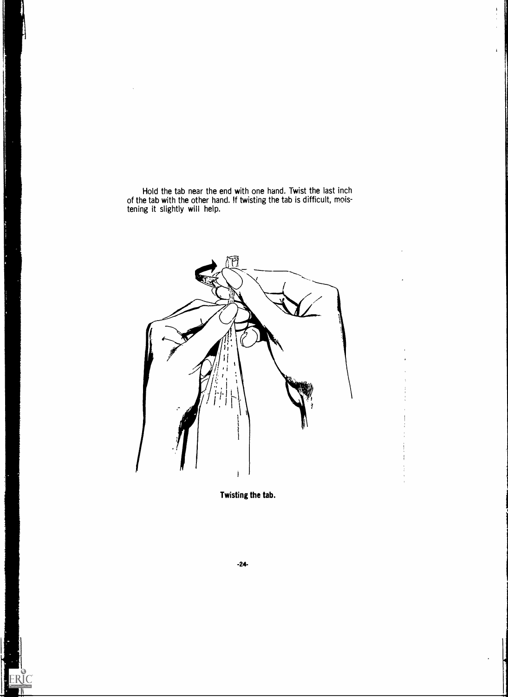Hold the tab near the end with one hand. Twist the last inch of the tab with the other hand. !f twisting the tab is difficult, moistening it slightly will help.

N

ERIC

 $\frac{1}{2}$  $\bar{1}$ 

 $\mathbf{I}$ 



Twisting the tab.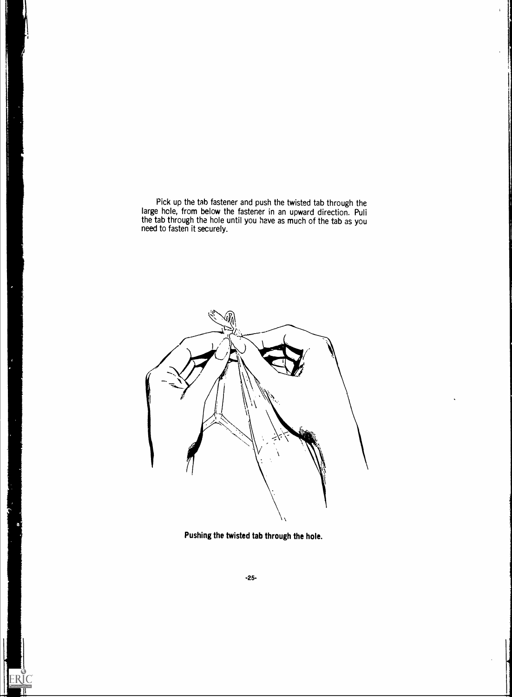Pick up the tab fastener and push the twisted tab through the large hole, from below the fastener in an upward direction. Puli the tab through the hole until you have as much of the tab as you need to fasten it securely.



Pushing the twisted tab through the hole.

ERIC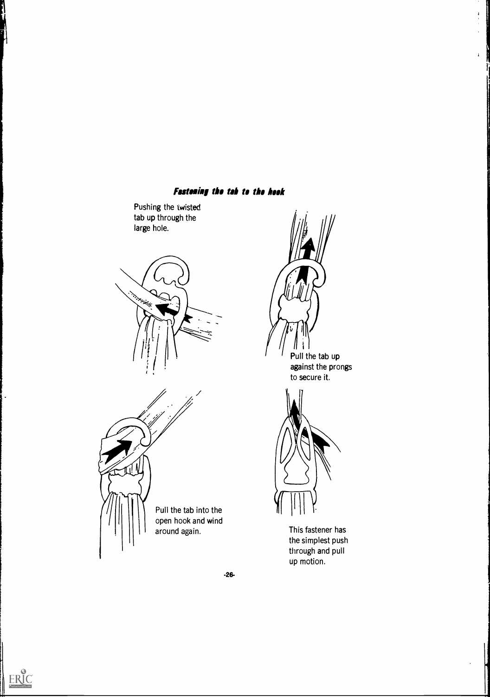# **Fastening the tab to the hook**

Pushing the twisted tab up through the large hole.



Pull the tab into the open hook and wind around again.

 $\mathbf{I}$ 



 $\begin{array}{c} \textbf{A} \\ \textbf{B} \\ \textbf{C} \\ \textbf{D} \end{array}$  $\bar{1}$ 

 $\bar{\pmb{\lambda}}$ 



This fastener has the simplest push through and pull up motion.

-26-



n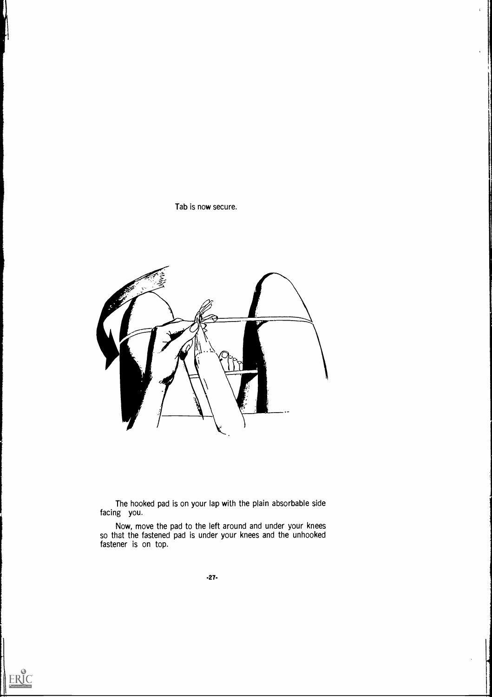

 $\mathbf{I}$ 



The hooked pad is on your lap with the plain absorbable side facing you.

Now, move the pad to the left around and under your knees so that the fastened pad is under your knees and the unhooked fastener is on top.

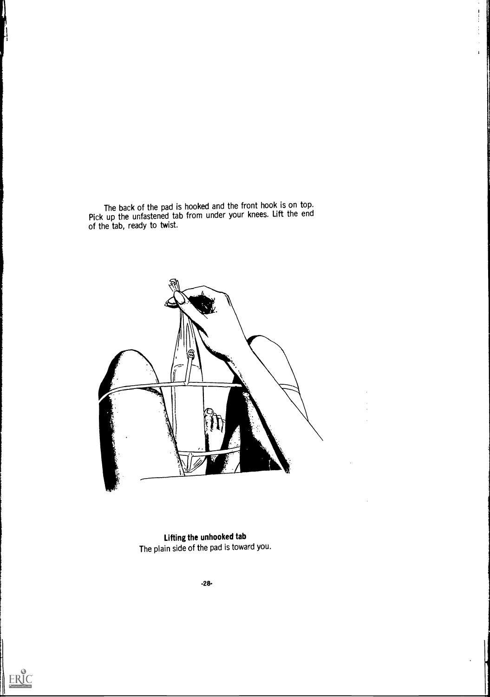The back of the pad is hooked and the front hook is on top. Pick up the unfastened tab from under your knees. Lift the end of the tab, ready to twist.

 $\begin{array}{c} 1 \\ 1 \\ 1 \end{array}$ 

 $\frac{1}{4}$  $\hat{\mathbf{r}}$  $\hat{\mathbf{r}}$ 



Lifting the unhooked tab The plain side of the pad is toward you.

-28-



||<br>|-<br>|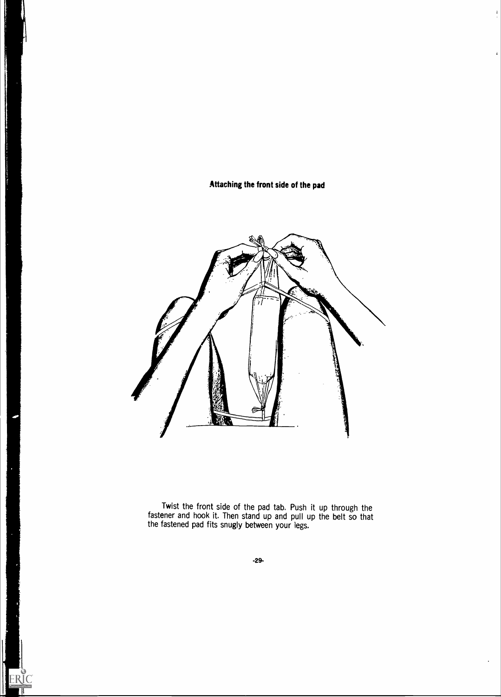Attaching the front side of the pad

ERIC

 $\frac{1}{\epsilon}$ 

 $\overline{1}$ 



Twist the front side of the pad tab. Push it up through the fastener and hook it. Then stand up and pull up the belt so that the fastened pad fits snugly between your legs.

-29-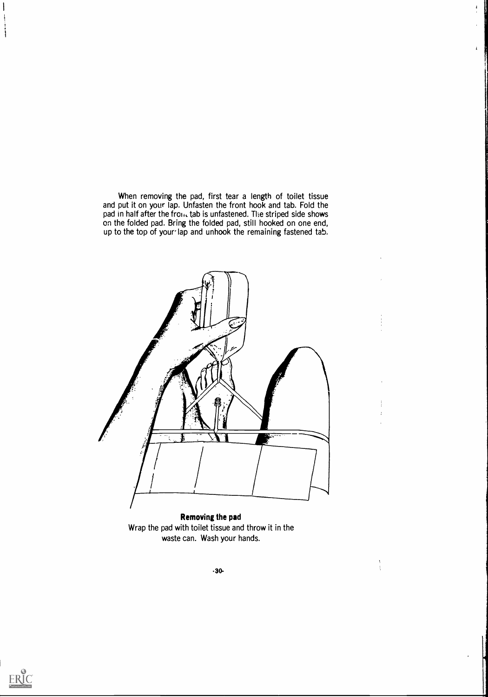When removing the pad, first tear a length of toilet tissue and put it on your lap. Unfasten the front hook and tab. Fold the pad in half after the from, tab is unfastened. The striped side shows on the folded pad. Bring the folded pad, still hooked on one end, up to the top of your lap and unhook the remaining fastened tab.

 $\mathbf{A}^{\top}$ 



Wrap the pad with toilet tissue and throw it in the waste can. Wash your hands.

 $\frac{1}{3}$ 



 $\mathbf{I}$ 

 $\mathbf{i}$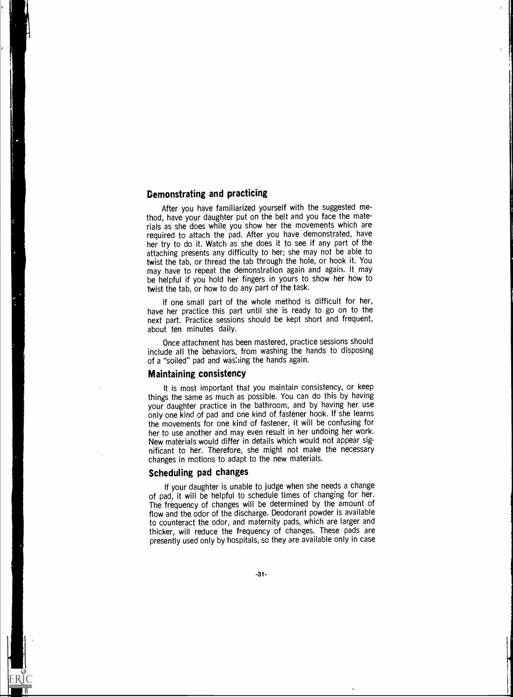# Demonstrating and practicing

After you have familiarized yourself with the suggested method, have your daughter put on the belt and you face the materials as she does while you show her the movements which are required to attach the pad. After you have demonstrated, have her try to do it. Watch as she does it to see if any part of the attaching presents any difficulty to her; she may not be able to twist the tab, or thread the tab through the hole, or hook it. You may have to repeat the demonstration again and again. It may be helpful if you hold her fingers in yours to show her how to twist the tab, or how to do any part of the task.

If one small part of the whole method is difficult for her, have her practice this part until she is ready to go on to the next part. Practice sessions should be kept short and frequent, about ten minutes daily.

Once attachment has been mastered, practice sessions should include all the behaviors, from washing the hands to disposing of a "soiled" pad and was:ling the hands again.

#### Maintaining consistency

It is most important that you maintain consistency, or keep things the same as much as possible. You can do this by having your daughter practice in the bathroom, and by having her use only one kind of pad and one kind of fastener hook. If she learns the movements for one kind of fastener, it will be confusing for her to use another and may even result in her undoing her work. New materials would differ in details which would not appear significant to her. Therefore, she might not make the necessary changes in motions to adapt to the new materials.

# Scheduling pad changes

If your daughter is unable to judge when she needs a change of pad, it will be helpful to schedule times of changing for her. The frequency of changes will be determined by the amount of flow and the odor of the discharge. Deodorant powder is available to counteract the odor, and maternity pads, which are larger and thicker, will reduce the frequency of changes. These pads are presently used only by hospitals, so they are available only in case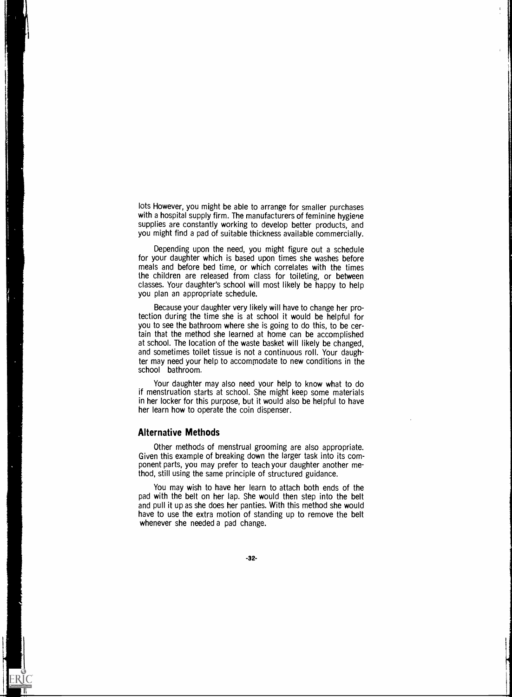lots However, you might be able to arrange for smaller purchases with a hospital supply firm. The manufacturers of feminine hygiene supplies are constantly working to develop better products, and you might find a pad of suitable thickness available commercially.

Depending upon the need, you might figure out a schedule for your daughter which is based upon times she washes before meals and before bed time, or which correlates with the times the children are released from class for toileting, or between classes. Your daughter's school will most likely be happy to help you plan an appropriate schedule.

Because your daughter very likely will have to change her protection during the time she is at school it would be helpful for you to see the bathroom where she is going to do this, to be certain that the method she learned at home can be accomplished at school. The location of the waste basket will likely be changed, and sometimes toilet tissue is not a continuous roll. Your daughter may need your help to accommodate to new conditions in the school bathroom.

Your daughter may also need your help to know what to do if menstruation starts at school. She might keep some materials in her locker for this purpose, but it would also be helpful to have her learn how to operate the coin dispenser.

#### Alternative Methods

 $\mathbf{r}$ 

l

;

 $ER^{\bullet}_{\mathbf{C}}$ 

Other methods of menstrual grooming are also appropriate. Given this example of breaking down the larger task into its component parts, you may prefer to teach your daughter another method, still using the same principle of structured guidance.

You may wish to have her learn to attach both ends of the pad with the belt on her lap. She would then step into the belt and pull it up as she does her panties. With this method she would have to use the extra motion of standing up to remove the belt whenever she needed a pad change.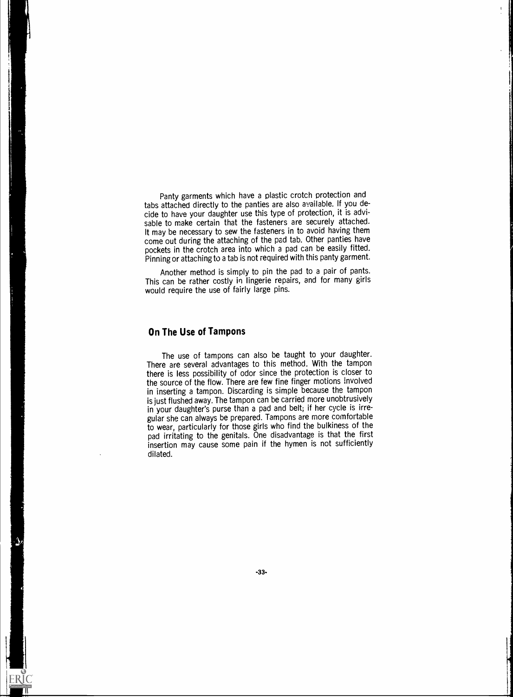Panty garments which have a plastic crotch protection and tabs attached directly to the panties are also available. If you decide to have your daughter use this type of protection, it is advisable to make certain that the fasteners are securely attached. It may be necessary to sew the fasteners in to avoid having them come out during the attaching of the pad tab. Other panties have pockets in the crotch area into which a pad can be easily fitted. Pinning or attaching to a tab is not required with this panty garment.

Another method is simply to pin the pad to a pair of pants. This can be rather costly in lingerie repairs, and for many girls would require the use of fairly large pins.

### On The Use of Tampons

ERIC

The use of tampons can also be taught to your daughter. There are several advantages to this method. With the tampon there is less possibility of odor since the protection is closer to the source of the flow. There are few fine finger motions involved in inserting a tampon. Discarding is simple because the tampon is just flushed away. The tampon can be carried more unobtrusively in your daughter's purse than a pad and belt; if her cycle is irregular she can always be prepared. Tampons are more comfortable to wear, particularly for those girls who find the bulkiness of the pad irritating to the genitals. One disadvantage is that the first insertion may cause some pain if the hymen is not sufficiently dilated.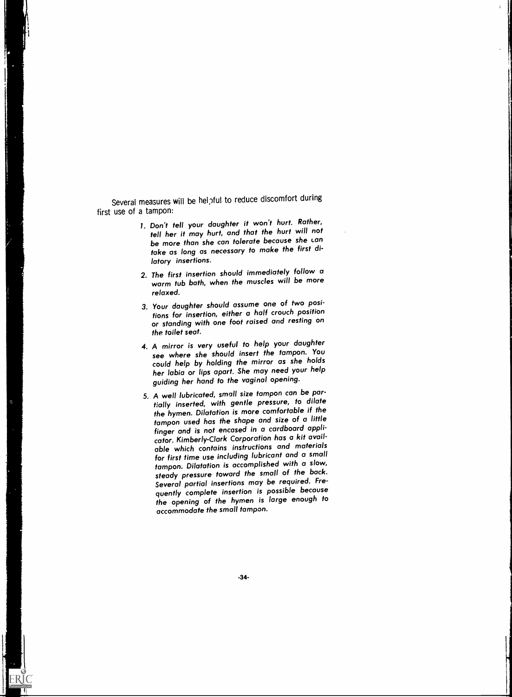Several measures will be helpful to reduce discomfort during first use of a tampon:

 $\mathbf{I}$ 1

- I. Don't tell your daughter it won't hurt. Rather, tell her it may hurt, and that the hurt will not be more than she can tolerate because she can take as long as necessary to make the first dilatory insertions.
- 2. The first insertion should immediately follow a warm tub bath, when the muscles will be more relaxed.
- 3. Your daughter should assume one of two positions for insertion, either a half crouch position or standing with one foot raised and resting on the toilet seat.
- 4. A mirror is very useful to help your daughter see where she should insert the tampon. You could help by holding the mirror as she holds her labia or lips apart. She may need your help guiding her hand to the vaginal opening.
- 5. A well lubricated, small size tampon can be partially inserted, with gentle pressure, to dilate the hymen. Dilatation is more comfortable if the tampon used has the shape and size of a little finger and is not encased in a cardboard applicator. Kimberly-Clark Corporation has a kit available which contains instructions and materials for first time use including lubricant and a small tampon. Dilatation is accomplished with a slow, steady pressure toward the small of the back. Several partial insertions may be required. Frequently complete insertion is possible because the opening of the hymen is large enough to accommodate the small tampon.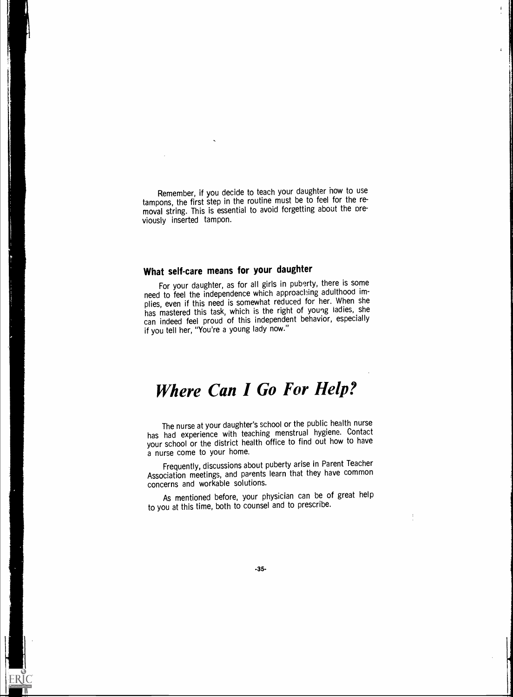Remember, if you decide to teach your daughter how to use tampons, the first step in the routine must be to feel for the removal string. This is essential to avoid forgetting about the previously inserted tampon.

# What self-care means for your daughter

For your daughter, as for all girls in puberty, there is some need to feel the independence which approaching adulthood implies, even if this need is somewhat reduced for her. When she has mastered this task, which is the right of young ladies, she can indeed feel proud of this independent behavior, especially if you tell her, "You're a young lady now."

# Where Can I Go For Help?

The nurse at your daughter's school or the public health nurse has had experience with teaching menstrual hygiene. Contact your school or the district health office to find out how to have a nurse come to your home.

Frequently, discussions about puberty arise in Parent Teacher Association meetings, and parents learn that they have common concerns and workable solutions.

As mentioned before, your physician can be of great help to you at this time, both to counsel and to prescribe.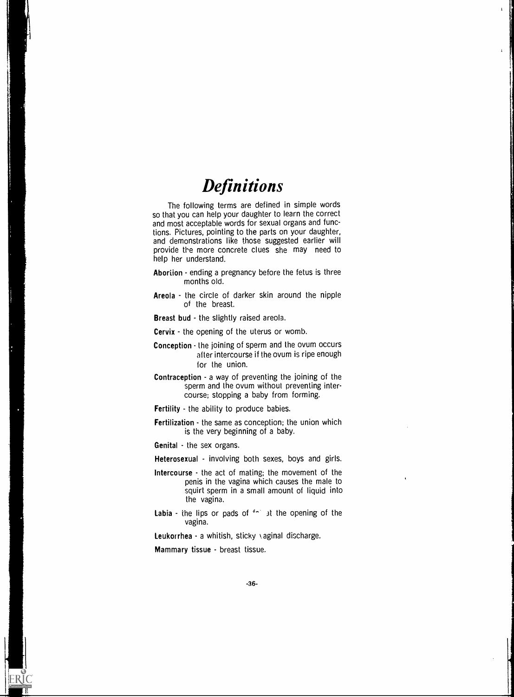# **Definitions**

 $\mathbf{I}$ 

The following terms are defined in simple words so that you can help your daughter to learn the correct and most acceptable words for sexual organs and functions. Pictures, pointing to the parts on your daughter, and demonstrations like those suggested earlier will provide the more concrete clues she may need to help her understand.

- Abortion ending a pregnancy before the fetus is three months old.
- Areola the circle of darker skin around the nipple of the breast.

Breast bud - the slightly raised areola.

**Cervix** - the opening of the uterus or womb.

- Conception the joining of sperm and the ovum occurs after intercourse if the ovum is ripe enough for the union.
- **Contraception** a way of preventing the joining of the sperm and the ovum without preventing intercourse; stopping a baby from forming.

**Fertility** - the ability to produce babies.

Fertilization - the same as conception; the union which is the very beginning of a baby.

Genital - the sex organs.

Heterosexual - involving both sexes, boys and girls.

- Intercourse  $\cdot$  the act of mating; the movement of the penis in the vagina which causes the male to squirt sperm in a small amount of liquid into the vagina.
- **Labia** the lips or pads of  $f^{-1}$  at the opening of the vagina.

**Leukorrhea - a whitish, sticky \ aginal discharge.** 

Mammary tissue - breast tissue.